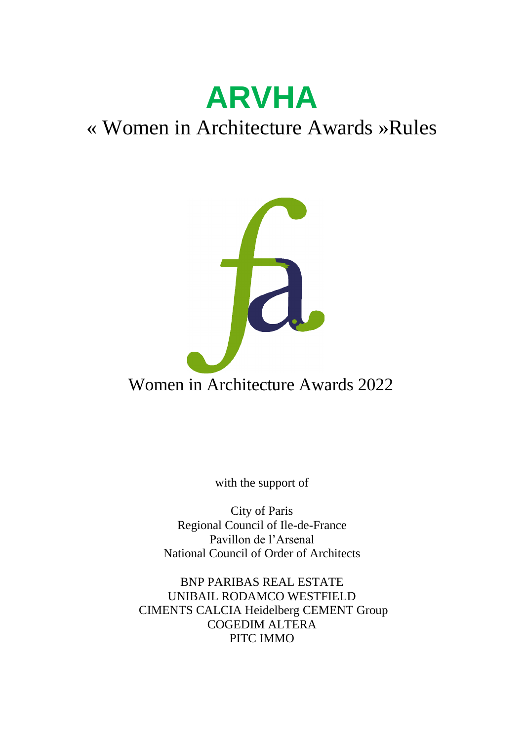# **ARVHA** « Women in Architecture Awards »Rules



with the support of

City of Paris Regional Council of Ile-de-France Pavillon de l'Arsenal National Council of Order of Architects

BNP PARIBAS REAL ESTATE UNIBAIL RODAMCO WESTFIELD CIMENTS CALCIA Heidelberg CEMENT Group COGEDIM ALTERA PITC IMMO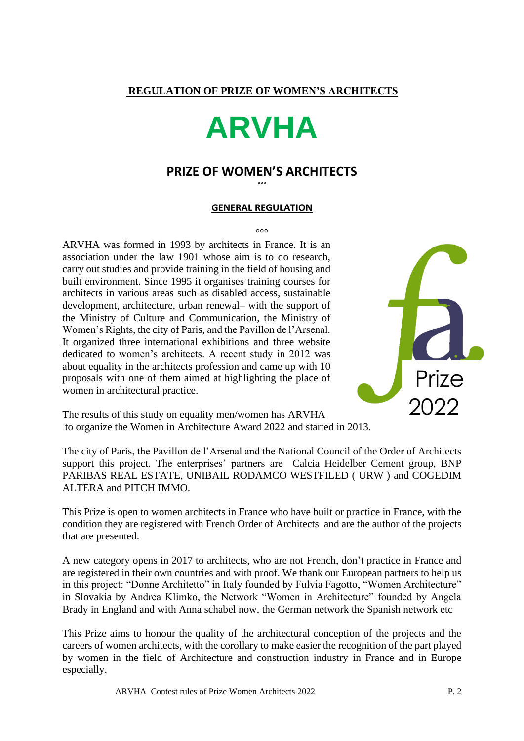**REGULATION OF PRIZE OF WOMEN'S ARCHITECTS**

# **ARVHA**

# **PRIZE OF WOMEN'S ARCHITECTS** °°°

#### **GENERAL REGULATION**

 $000$ 

ARVHA was formed in 1993 by architects in France. It is an association under the law 1901 whose aim is to do research, carry out studies and provide training in the field of housing and built environment. Since 1995 it organises training courses for architects in various areas such as disabled access, sustainable development, architecture, urban renewal– with the support of the Ministry of Culture and Communication, the Ministry of Women's Rights, the city of Paris, and the Pavillon de l'Arsenal. It organized three international exhibitions and three website dedicated to women's architects. A recent study in 2012 was about equality in the architects profession and came up with 10 proposals with one of them aimed at highlighting the place of women in architectural practice.



The results of this study on equality men/women has ARVHA to organize the Women in Architecture Award 2022 and started in 2013.

The city of Paris, the Pavillon de l'Arsenal and the National Council of the Order of Architects support this project. The enterprises' partners are Calcia Heidelber Cement group, BNP PARIBAS REAL ESTATE, UNIBAIL RODAMCO WESTFILED ( URW ) and COGEDIM ALTERA and PITCH IMMO.

This Prize is open to women architects in France who have built or practice in France, with the condition they are registered with French Order of Architects and are the author of the projects that are presented.

A new category opens in 2017 to architects, who are not French, don't practice in France and are registered in their own countries and with proof. We thank our European partners to help us in this project: "Donne Architetto" in Italy founded by Fulvia Fagotto, "Women Architecture" in Slovakia by Andrea Klimko, the Network "Women in Architecture" founded by Angela Brady in England and with Anna schabel now, the German network the Spanish network etc

This Prize aims to honour the quality of the architectural conception of the projects and the careers of women architects, with the corollary to make easier the recognition of the part played by women in the field of Architecture and construction industry in France and in Europe especially.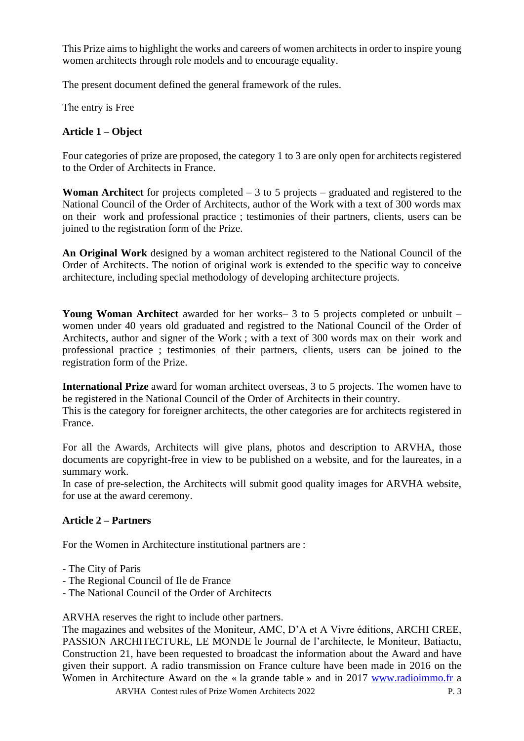This Prize aims to highlight the works and careers of women architects in order to inspire young women architects through role models and to encourage equality.

The present document defined the general framework of the rules.

The entry is Free

# **Article 1 – Object**

Four categories of prize are proposed, the category 1 to 3 are only open for architects registered to the Order of Architects in France.

**Woman Architect** for projects completed – 3 to 5 projects – graduated and registered to the National Council of the Order of Architects, author of the Work with a text of 300 words max on their work and professional practice ; testimonies of their partners, clients, users can be joined to the registration form of the Prize.

**An Original Work** designed by a woman architect registered to the National Council of the Order of Architects. The notion of original work is extended to the specific way to conceive architecture, including special methodology of developing architecture projects.

**Young Woman Architect** awarded for her works– 3 to 5 projects completed or unbuilt – women under 40 years old graduated and registred to the National Council of the Order of Architects, author and signer of the Work ; with a text of 300 words max on their work and professional practice ; testimonies of their partners, clients, users can be joined to the registration form of the Prize.

**International Prize** award for woman architect overseas, 3 to 5 projects. The women have to be registered in the National Council of the Order of Architects in their country.

This is the category for foreigner architects, the other categories are for architects registered in France.

For all the Awards, Architects will give plans, photos and description to ARVHA, those documents are copyright-free in view to be published on a website, and for the laureates, in a summary work.

In case of pre-selection, the Architects will submit good quality images for ARVHA website, for use at the award ceremony.

# **Article 2 – Partners**

For the Women in Architecture institutional partners are :

- The City of Paris
- The Regional Council of Ile de France
- The National Council of the Order of Architects

ARVHA reserves the right to include other partners.

ARVHA Contest rules of Prize Women Architects 2022 P. 3 The magazines and websites of the Moniteur, AMC, D'A et A Vivre éditions, ARCHI CREE, PASSION ARCHITECTURE, LE MONDE le Journal de l'architecte, le Moniteur, Batiactu, Construction 21, have been requested to broadcast the information about the Award and have given their support. A radio transmission on France culture have been made in 2016 on the Women in Architecture Award on the « la grande table » and in 2017 [www.radioimmo.fr](http://www.radioimmo.fr/) a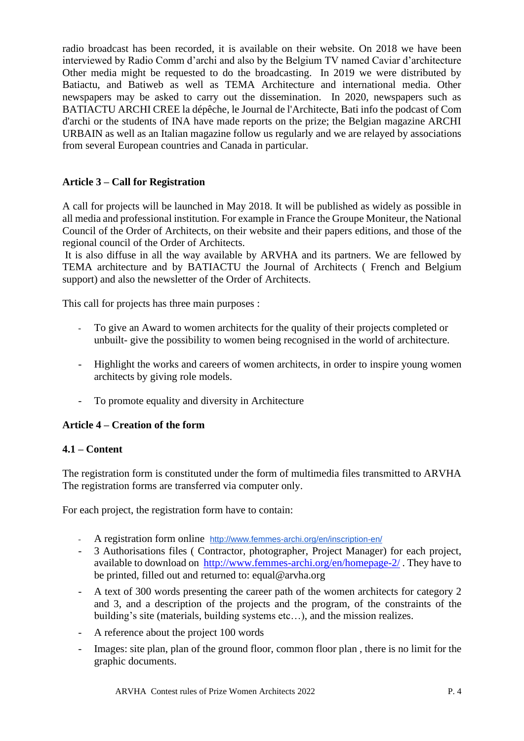radio broadcast has been recorded, it is available on their website. On 2018 we have been interviewed by Radio Comm d'archi and also by the Belgium TV named Caviar d'architecture Other media might be requested to do the broadcasting. In 2019 we were distributed by Batiactu, and Batiweb as well as TEMA Architecture and international media. Other newspapers may be asked to carry out the dissemination. In 2020, newspapers such as BATIACTU ARCHI CREE la dépêche, le Journal de l'Architecte, Bati info the podcast of Com d'archi or the students of INA have made reports on the prize; the Belgian magazine ARCHI URBAIN as well as an Italian magazine follow us regularly and we are relayed by associations from several European countries and Canada in particular.

# **Article 3 – Call for Registration**

A call for projects will be launched in May 2018. It will be published as widely as possible in all media and professional institution. For example in France the Groupe Moniteur, the National Council of the Order of Architects, on their website and their papers editions, and those of the regional council of the Order of Architects.

It is also diffuse in all the way available by ARVHA and its partners. We are fellowed by TEMA architecture and by BATIACTU the Journal of Architects ( French and Belgium support) and also the newsletter of the Order of Architects.

This call for projects has three main purposes :

- To give an Award to women architects for the quality of their projects completed or unbuilt- give the possibility to women being recognised in the world of architecture.
- Highlight the works and careers of women architects, in order to inspire young women architects by giving role models.
- To promote equality and diversity in Architecture

# **Article 4 – Creation of the form**

#### **4.1 – Content**

The registration form is constituted under the form of multimedia files transmitted to ARVHA The registration forms are transferred via computer only.

For each project, the registration form have to contain:

- A registration form online <http://www.femmes-archi.org/en/inscription-en/>
- 3 Authorisations files ( Contractor, photographer, Project Manager) for each project, available to download on<http://www.femmes-archi.org/en/homepage-2/> . They have to be printed, filled out and returned to: equal@arvha.org
- A text of 300 words presenting the career path of the women architects for category 2 and 3, and a description of the projects and the program, of the constraints of the building's site (materials, building systems etc…), and the mission realizes.
- A reference about the project 100 words
- Images: site plan, plan of the ground floor, common floor plan , there is no limit for the graphic documents.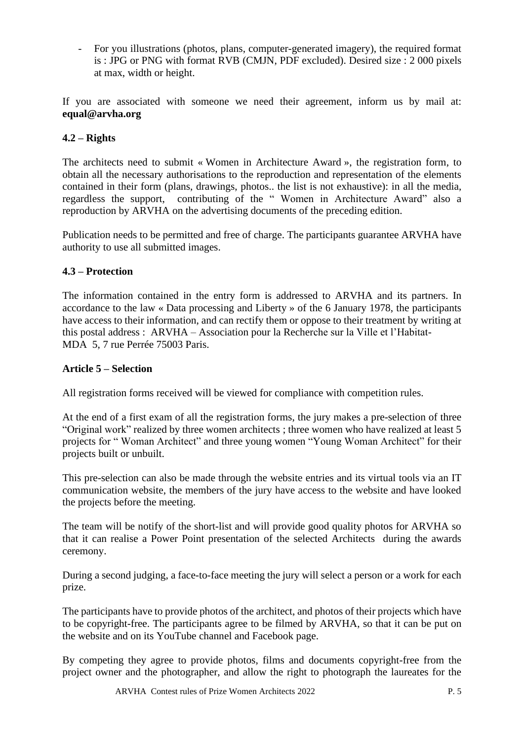- For you illustrations (photos, plans, computer-generated imagery), the required format is : JPG or PNG with format RVB (CMJN, PDF excluded). Desired size : 2 000 pixels at max, width or height.

If you are associated with someone we need their agreement, inform us by mail at: **[equal@arvha.org](mailto:equal@arvha.org)**

# **4.2 – Rights**

The architects need to submit « Women in Architecture Award », the registration form, to obtain all the necessary authorisations to the reproduction and representation of the elements contained in their form (plans, drawings, photos.. the list is not exhaustive): in all the media, regardless the support, contributing of the " Women in Architecture Award" also a reproduction by ARVHA on the advertising documents of the preceding edition.

Publication needs to be permitted and free of charge. The participants guarantee ARVHA have authority to use all submitted images.

# **4.3 – Protection**

The information contained in the entry form is addressed to ARVHA and its partners. In accordance to the law « Data processing and Liberty » of the 6 January 1978, the participants have access to their information, and can rectify them or oppose to their treatment by writing at this postal address : ARVHA – Association pour la Recherche sur la Ville et l'Habitat-MDA 5, 7 rue Perrée 75003 Paris.

#### **Article 5 – Selection**

All registration forms received will be viewed for compliance with competition rules.

At the end of a first exam of all the registration forms, the jury makes a pre-selection of three "Original work" realized by three women architects ; three women who have realized at least 5 projects for " Woman Architect" and three young women "Young Woman Architect" for their projects built or unbuilt.

This pre-selection can also be made through the website entries and its virtual tools via an IT communication website, the members of the jury have access to the website and have looked the projects before the meeting.

The team will be notify of the short-list and will provide good quality photos for ARVHA so that it can realise a Power Point presentation of the selected Architects during the awards ceremony.

During a second judging, a face-to-face meeting the jury will select a person or a work for each prize.

The participants have to provide photos of the architect, and photos of their projects which have to be copyright-free. The participants agree to be filmed by ARVHA, so that it can be put on the website and on its YouTube channel and Facebook page.

By competing they agree to provide photos, films and documents copyright-free from the project owner and the photographer, and allow the right to photograph the laureates for the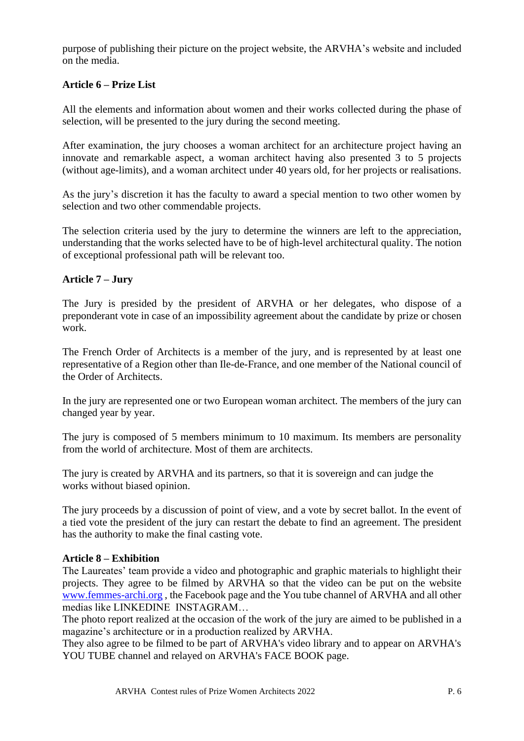purpose of publishing their picture on the project website, the ARVHA's website and included on the media.

# **Article 6 – Prize List**

All the elements and information about women and their works collected during the phase of selection, will be presented to the jury during the second meeting.

After examination, the jury chooses a woman architect for an architecture project having an innovate and remarkable aspect, a woman architect having also presented 3 to 5 projects (without age-limits), and a woman architect under 40 years old, for her projects or realisations.

As the jury's discretion it has the faculty to award a special mention to two other women by selection and two other commendable projects.

The selection criteria used by the jury to determine the winners are left to the appreciation, understanding that the works selected have to be of high-level architectural quality. The notion of exceptional professional path will be relevant too.

# **Article 7 – Jury**

The Jury is presided by the president of ARVHA or her delegates, who dispose of a preponderant vote in case of an impossibility agreement about the candidate by prize or chosen work.

The French Order of Architects is a member of the jury, and is represented by at least one representative of a Region other than Ile-de-France, and one member of the National council of the Order of Architects.

In the jury are represented one or two European woman architect. The members of the jury can changed year by year.

The jury is composed of 5 members minimum to 10 maximum. Its members are personality from the world of architecture. Most of them are architects.

The jury is created by ARVHA and its partners, so that it is sovereign and can judge the works without biased opinion.

The jury proceeds by a discussion of point of view, and a vote by secret ballot. In the event of a tied vote the president of the jury can restart the debate to find an agreement. The president has the authority to make the final casting vote.

# **Article 8 – Exhibition**

The Laureates' team provide a video and photographic and graphic materials to highlight their projects. They agree to be filmed by ARVHA so that the video can be put on the website [www.femmes-archi.org](http://www.femmes-archi.org/) , the Facebook page and the You tube channel of ARVHA and all other medias like LINKEDINE INSTAGRAM…

The photo report realized at the occasion of the work of the jury are aimed to be published in a magazine's architecture or in a production realized by ARVHA.

They also agree to be filmed to be part of ARVHA's video library and to appear on ARVHA's YOU TUBE channel and relayed on ARVHA's FACE BOOK page.